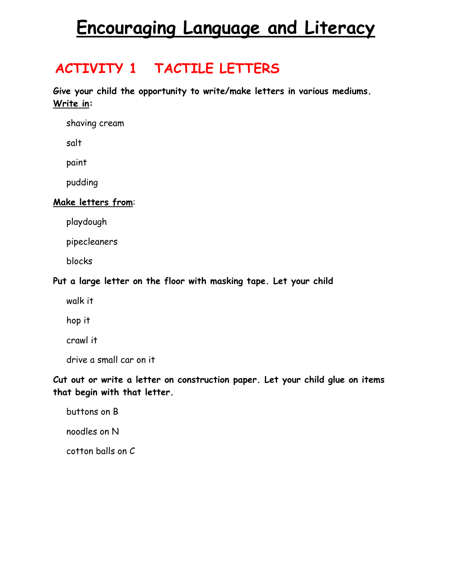# **Encouraging Language and Literacy**

#### **ACTIVITY 1 TACTILE LETTERS**

**Give your child the opportunity to write/make letters in various mediums. Write in:** 

shaving cream

salt

paint

pudding

#### **Make letters from**:

playdough

pipecleaners

blocks

#### **Put a large letter on the floor with masking tape. Let your child**

walk it

hop it

crawl it

drive a small car on it

**Cut out or write a letter on construction paper. Let your child glue on items that begin with that letter.** 

buttons on B

noodles on N

cotton balls on C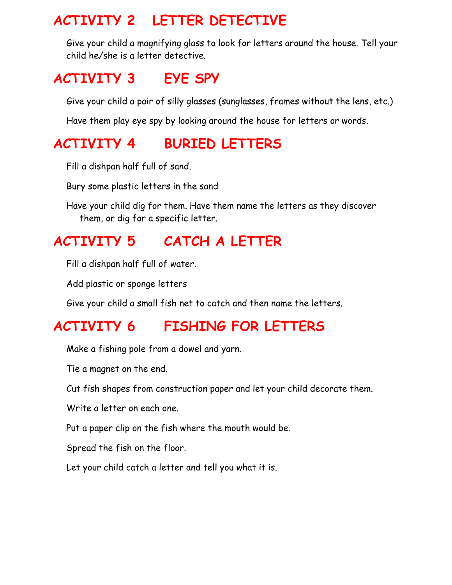#### **ACTIVITY 2 LETTER DETECTIVE**

Give your child a magnifying glass to look for letters around the house. Tell your child he/she is a letter detective.

### **ACTIVITY 3 EYE SPY**

Give your child a pair of silly glasses (sunglasses, frames without the lens, etc.)

Have them play eye spy by looking around the house for letters or words.

# **ACTIVITY 4 BURIED LETTERS**

Fill a dishpan half full of sand.

Bury some plastic letters in the sand

Have your child dig for them. Have them name the letters as they discover them, or dig for a specific letter.

# **ACTIVITY 5 CATCH A LETTER**

Fill a dishpan half full of water.

Add plastic or sponge letters

Give your child a small fish net to catch and then name the letters.

## **ACTIVITY 6 FISHING FOR LETTERS**

Make a fishing pole from a dowel and yarn.

Tie a magnet on the end.

Cut fish shapes from construction paper and let your child decorate them.

Write a letter on each one.

Put a paper clip on the fish where the mouth would be.

Spread the fish on the floor.

Let your child catch a letter and tell you what it is.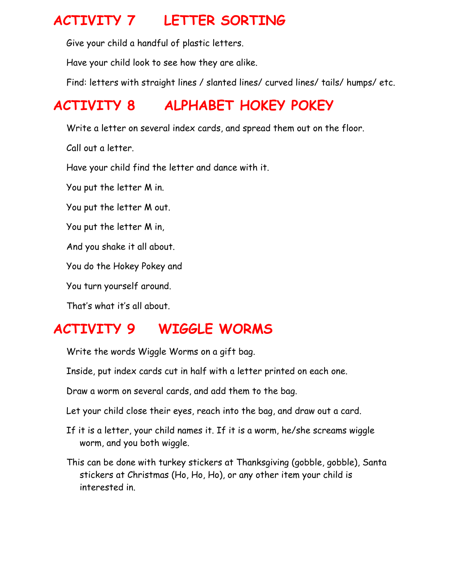#### **ACTIVITY 7 LETTER SORTING**

Give your child a handful of plastic letters.

Have your child look to see how they are alike.

Find: letters with straight lines / slanted lines/ curved lines/ tails/ humps/ etc.

## **ACTIVITY 8 ALPHABET HOKEY POKEY**

Write a letter on several index cards, and spread them out on the floor.

Call out a letter.

Have your child find the letter and dance with it.

You put the letter M in.

You put the letter M out.

You put the letter M in,

And you shake it all about.

You do the Hokey Pokey and

You turn yourself around.

That's what it's all about.

## **ACTIVITY 9 WIGGLE WORMS**

Write the words Wiggle Worms on a gift bag.

Inside, put index cards cut in half with a letter printed on each one.

Draw a worm on several cards, and add them to the bag.

Let your child close their eyes, reach into the bag, and draw out a card.

- If it is a letter, your child names it. If it is a worm, he/she screams wiggle worm, and you both wiggle.
- This can be done with turkey stickers at Thanksgiving (gobble, gobble), Santa stickers at Christmas (Ho, Ho, Ho), or any other item your child is interested in.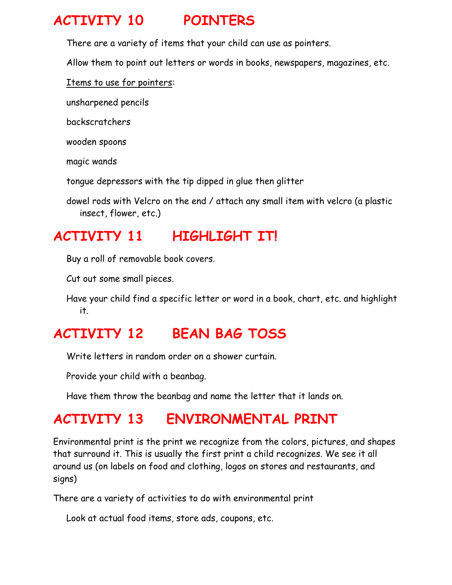### **ACTIVITY 10 POINTERS**

There are a variety of items that your child can use as pointers.

Allow them to point out letters or words in books, newspapers, magazines, etc.

Items to use for pointers:

unsharpened pencils

backscratchers

wooden spoons

magic wands

tongue depressors with the tip dipped in glue then glitter

dowel rods with Velcro on the end / attach any small item with velcro (a plastic insect, flower, etc.)

## **ACTIVITY 11 HIGHLIGHT IT!**

Buy a roll of removable book covers.

Cut out some small pieces.

Have your child find a specific letter or word in a book, chart, etc. and highlight it.

## **ACTIVITY 12 BEAN BAG TOSS**

Write letters in random order on a shower curtain.

Provide your child with a beanbag.

Have them throw the beanbag and name the letter that it lands on.

## **ACTIVITY 13 ENVIRONMENTAL PRINT**

Environmental print is the print we recognize from the colors, pictures, and shapes that surround it. This is usually the first print a child recognizes. We see it all around us (on labels on food and clothing, logos on stores and restaurants, and signs)

There are a variety of activities to do with environmental print

Look at actual food items, store ads, coupons, etc.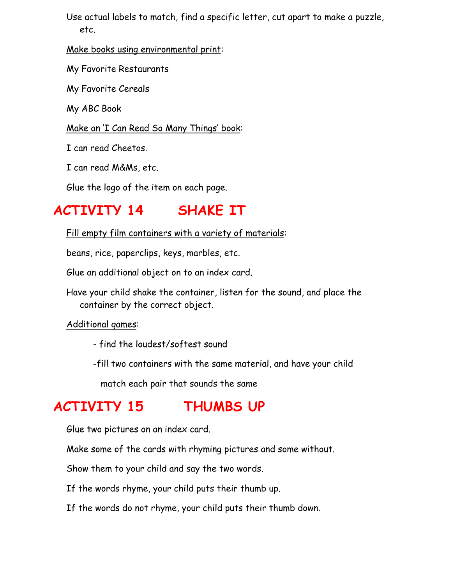Use actual labels to match, find a specific letter, cut apart to make a puzzle, etc.

Make books using environmental print:

My Favorite Restaurants

My Favorite Cereals

My ABC Book

#### Make an 'I Can Read So Many Things' book:

I can read Cheetos.

I can read M&Ms, etc.

Glue the logo of the item on each page.

#### **ACTIVITY 14 SHAKE IT**

Fill empty film containers with a variety of materials:

beans, rice, paperclips, keys, marbles, etc.

Glue an additional object on to an index card.

Have your child shake the container, listen for the sound, and place the container by the correct object.

Additional games:

- find the loudest/softest sound

-fill two containers with the same material, and have your child

match each pair that sounds the same

#### **ACTIVITY 15 THUMBS UP**

Glue two pictures on an index card.

Make some of the cards with rhyming pictures and some without.

Show them to your child and say the two words.

If the words rhyme, your child puts their thumb up.

If the words do not rhyme, your child puts their thumb down.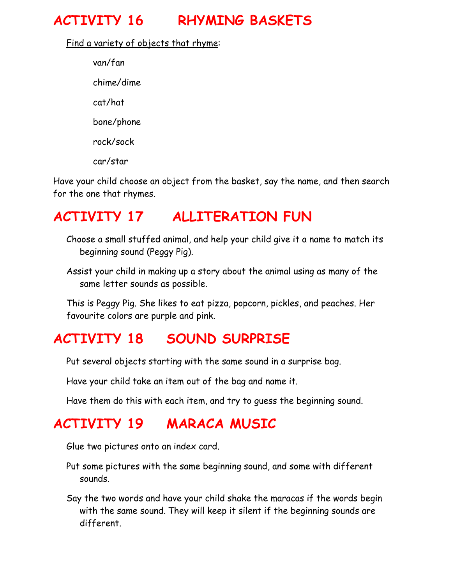## **ACTIVITY 16 RHYMING BASKETS**

Find a variety of objects that rhyme:

van/fan chime/dime cat/hat bone/phone rock/sock car/star

Have your child choose an object from the basket, say the name, and then search for the one that rhymes.

#### **ACTIVITY 17 ALLITERATION FUN**

Choose a small stuffed animal, and help your child give it a name to match its beginning sound (Peggy Pig).

Assist your child in making up a story about the animal using as many of the same letter sounds as possible.

This is Peggy Pig. She likes to eat pizza, popcorn, pickles, and peaches. Her favourite colors are purple and pink.

#### **ACTIVITY 18 SOUND SURPRISE**

Put several objects starting with the same sound in a surprise bag.

Have your child take an item out of the bag and name it.

Have them do this with each item, and try to guess the beginning sound.

#### **ACTIVITY 19 MARACA MUSIC**

Glue two pictures onto an index card.

- Put some pictures with the same beginning sound, and some with different sounds.
- Say the two words and have your child shake the maracas if the words begin with the same sound. They will keep it silent if the beginning sounds are different.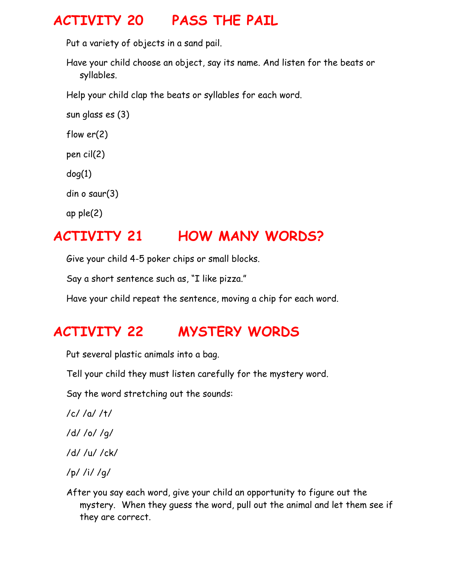#### **ACTIVITY 20 PASS THE PAIL**

Put a variety of objects in a sand pail.

Have your child choose an object, say its name. And listen for the beats or syllables.

Help your child clap the beats or syllables for each word.

sun glass es (3)

flow er(2)

pen cil(2)

dog(1)

din o saur(3)

ap ple(2)

# **ACTIVITY 21 HOW MANY WORDS?**

Give your child 4-5 poker chips or small blocks.

Say a short sentence such as, "I like pizza."

Have your child repeat the sentence, moving a chip for each word.

# **ACTIVITY 22 MYSTERY WORDS**

Put several plastic animals into a bag.

Tell your child they must listen carefully for the mystery word.

Say the word stretching out the sounds:

- /c/ /a/ /t/
- /d/ /o/ /g/
- /d/ /u/ /ck/
- /p/ /i/ /g/
- After you say each word, give your child an opportunity to figure out the mystery. When they guess the word, pull out the animal and let them see if they are correct.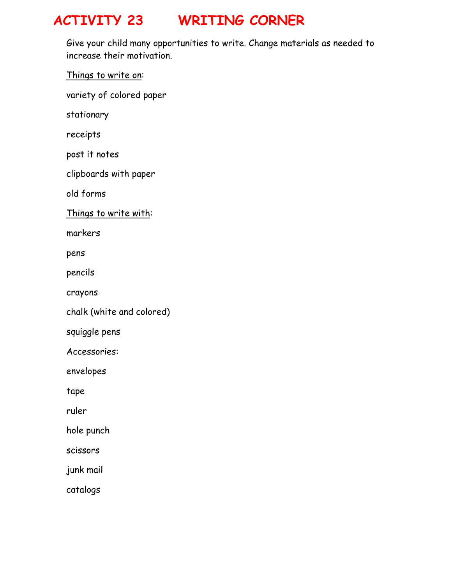### **ACTIVITY 23 WRITING CORNER**

Give your child many opportunities to write. Change materials as needed to increase their motivation.

Things to write on:

variety of colored paper

stationary

receipts

post it notes

clipboards with paper

old forms

Things to write with:

markers

pens

pencils

crayons

chalk (white and colored)

squiggle pens

Accessories:

envelopes

tape

ruler

hole punch

scissors

junk mail

catalogs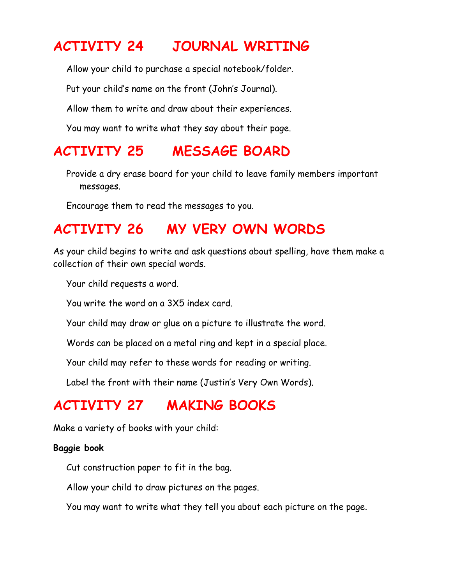#### **ACTIVITY 24 JOURNAL WRITING**

Allow your child to purchase a special notebook/folder.

Put your child's name on the front (John's Journal).

Allow them to write and draw about their experiences.

You may want to write what they say about their page.

#### **ACTIVITY 25 MESSAGE BOARD**

Provide a dry erase board for your child to leave family members important messages.

Encourage them to read the messages to you.

#### **ACTIVITY 26 MY VERY OWN WORDS**

As your child begins to write and ask questions about spelling, have them make a collection of their own special words.

Your child requests a word.

You write the word on a 3X5 index card.

Your child may draw or glue on a picture to illustrate the word.

Words can be placed on a metal ring and kept in a special place.

Your child may refer to these words for reading or writing.

Label the front with their name (Justin's Very Own Words).

#### **ACTIVITY 27 MAKING BOOKS**

Make a variety of books with your child:

#### **Baggie book**

Cut construction paper to fit in the bag.

Allow your child to draw pictures on the pages.

You may want to write what they tell you about each picture on the page.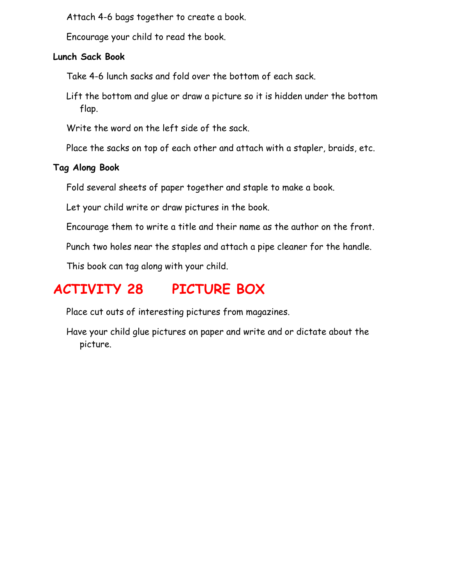Attach 4-6 bags together to create a book.

Encourage your child to read the book.

#### **Lunch Sack Book**

Take 4-6 lunch sacks and fold over the bottom of each sack.

Lift the bottom and glue or draw a picture so it is hidden under the bottom flap.

Write the word on the left side of the sack.

Place the sacks on top of each other and attach with a stapler, braids, etc.

#### **Tag Along Book**

Fold several sheets of paper together and staple to make a book.

Let your child write or draw pictures in the book.

Encourage them to write a title and their name as the author on the front.

Punch two holes near the staples and attach a pipe cleaner for the handle.

This book can tag along with your child.

# **ACTIVITY 28 PICTURE BOX**

Place cut outs of interesting pictures from magazines.

Have your child glue pictures on paper and write and or dictate about the picture.